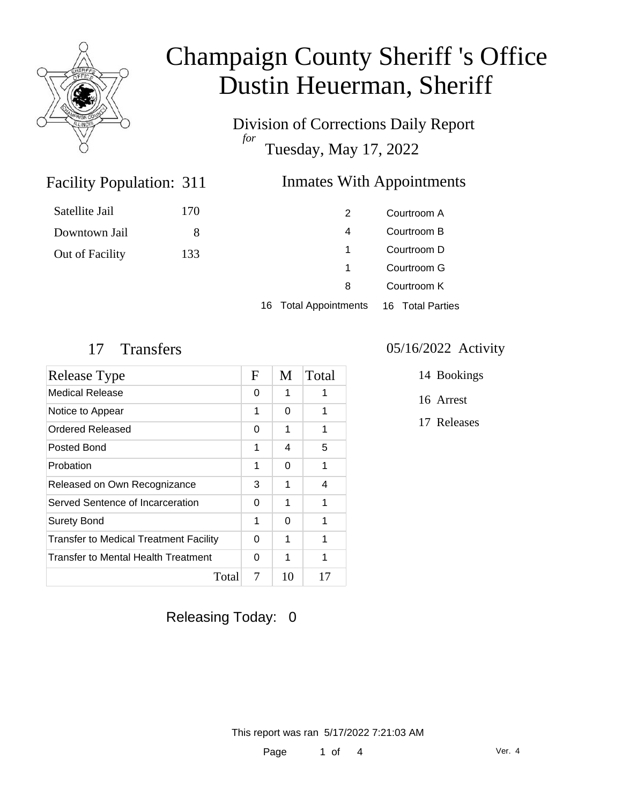

Division of Corrections Daily Report *for* Tuesday, May 17, 2022

## Inmates With Appointments

| 2 | Courtroom A |
|---|-------------|
| 4 | Courtroom B |
| 1 | Courtroom D |
| 1 | Courtroom G |
| 8 | Courtroom K |
|   | . <b>.</b>  |

16 Total Appointments 16 Total Parties

Facility Population: 311

| Release Type                                  | $\mathbf F$ | M  | Total |
|-----------------------------------------------|-------------|----|-------|
| Medical Release                               | 0           | 1  |       |
| Notice to Appear                              | 1           | 0  | 1     |
| Ordered Released                              | 0           | 1  | 1     |
| Posted Bond                                   | 1           | 4  | 5     |
| Probation                                     | 1           | 0  | 1     |
| Released on Own Recognizance                  | 3           | 1  | 4     |
| Served Sentence of Incarceration              | 0           | 1  | 1     |
| <b>Surety Bond</b>                            | 1           | 0  | 1     |
| <b>Transfer to Medical Treatment Facility</b> | 0           | 1  | 1     |
| Transfer to Mental Health Treatment           | 0           | 1  | 1     |
| Total                                         | 7           | 10 | 17    |

### 17 Transfers 05/16/2022 Activity

- 14 Bookings
- 16 Arrest
- 17 Releases

### Releasing Today: 0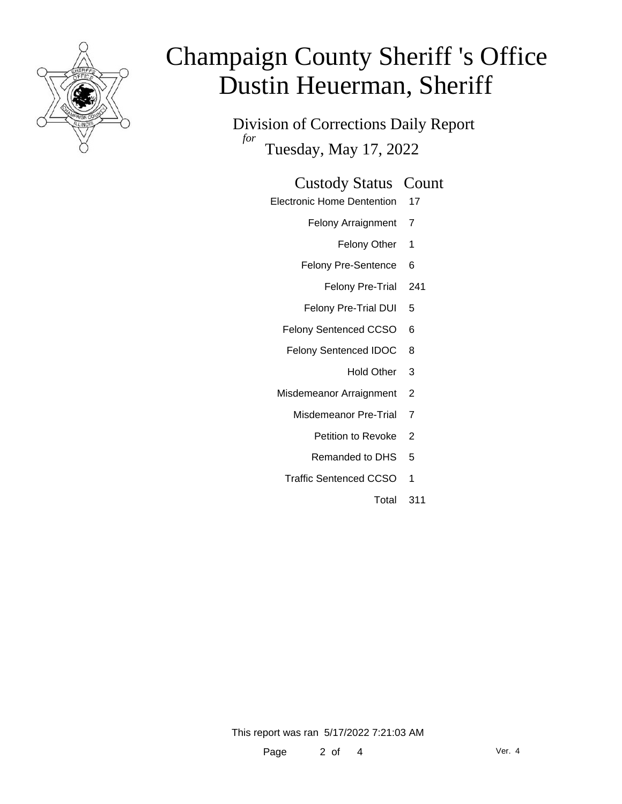

Division of Corrections Daily Report *for* Tuesday, May 17, 2022

### Custody Status Count

- Electronic Home Dentention 17
	- Felony Arraignment 7
		- Felony Other 1
	- Felony Pre-Sentence 6
		- Felony Pre-Trial 241
	- Felony Pre-Trial DUI 5
	- Felony Sentenced CCSO 6
	- Felony Sentenced IDOC 8
		- Hold Other 3
	- Misdemeanor Arraignment 2
		- Misdemeanor Pre-Trial 7
			- Petition to Revoke 2
			- Remanded to DHS 5
		- Traffic Sentenced CCSO 1
			- Total 311

This report was ran 5/17/2022 7:21:03 AM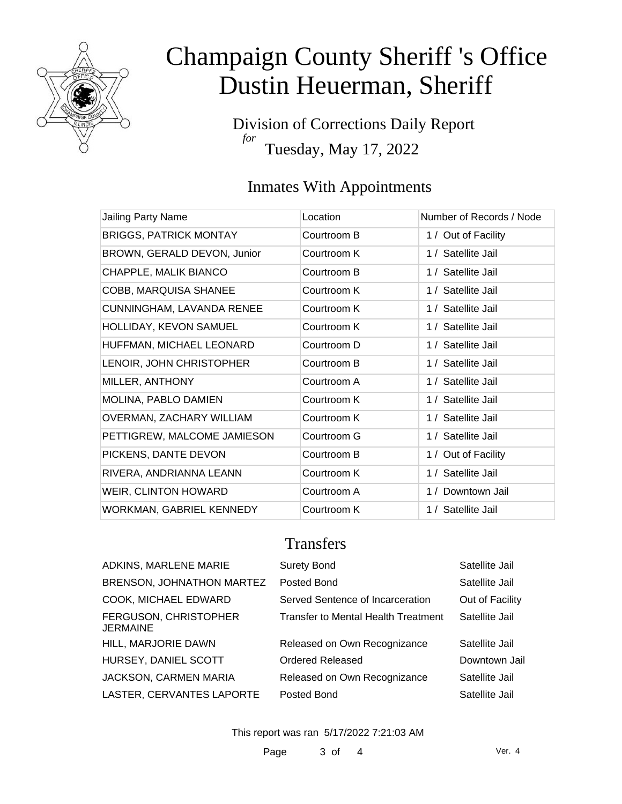

Division of Corrections Daily Report *for* Tuesday, May 17, 2022

# Inmates With Appointments

| Jailing Party Name            | Location    | Number of Records / Node |
|-------------------------------|-------------|--------------------------|
| <b>BRIGGS, PATRICK MONTAY</b> | Courtroom B | 1 / Out of Facility      |
| BROWN, GERALD DEVON, Junior   | Courtroom K | 1 / Satellite Jail       |
| CHAPPLE, MALIK BIANCO         | Courtroom B | 1 / Satellite Jail       |
| COBB, MARQUISA SHANEE         | Courtroom K | 1 / Satellite Jail       |
| CUNNINGHAM, LAVANDA RENEE     | Courtroom K | 1 / Satellite Jail       |
| HOLLIDAY, KEVON SAMUEL        | Courtroom K | 1 / Satellite Jail       |
| HUFFMAN, MICHAEL LEONARD      | Courtroom D | 1 / Satellite Jail       |
| LENOIR, JOHN CHRISTOPHER      | Courtroom B | 1 / Satellite Jail       |
| MILLER, ANTHONY               | Courtroom A | 1 / Satellite Jail       |
| MOLINA, PABLO DAMIEN          | Courtroom K | 1 / Satellite Jail       |
| OVERMAN, ZACHARY WILLIAM      | Courtroom K | 1 / Satellite Jail       |
| PETTIGREW, MALCOME JAMIESON   | Courtroom G | 1 / Satellite Jail       |
| PICKENS, DANTE DEVON          | Courtroom B | 1 / Out of Facility      |
| RIVERA, ANDRIANNA LEANN       | Courtroom K | 1 / Satellite Jail       |
| WEIR, CLINTON HOWARD          | Courtroom A | 1 / Downtown Jail        |
| WORKMAN, GABRIEL KENNEDY      | Courtroom K | 1 / Satellite Jail       |

### **Transfers**

| <b>ADKINS, MARLENE MARIE</b>             | <b>Surety Bond</b>                  | Satellite Jail  |
|------------------------------------------|-------------------------------------|-----------------|
| BRENSON, JOHNATHON MARTEZ                | Posted Bond                         | Satellite Jail  |
| COOK, MICHAEL EDWARD                     | Served Sentence of Incarceration    | Out of Facility |
| <b>FERGUSON, CHRISTOPHER</b><br>JERMAINE | Transfer to Mental Health Treatment | Satellite Jail  |
| HILL, MARJORIE DAWN                      | Released on Own Recognizance        | Satellite Jail  |
| HURSEY, DANIEL SCOTT                     | Ordered Released                    | Downtown Jail   |
| <b>JACKSON, CARMEN MARIA</b>             | Released on Own Recognizance        | Satellite Jail  |
| LASTER, CERVANTES LAPORTE                | Posted Bond                         | Satellite Jail  |
|                                          |                                     |                 |

This report was ran 5/17/2022 7:21:03 AM